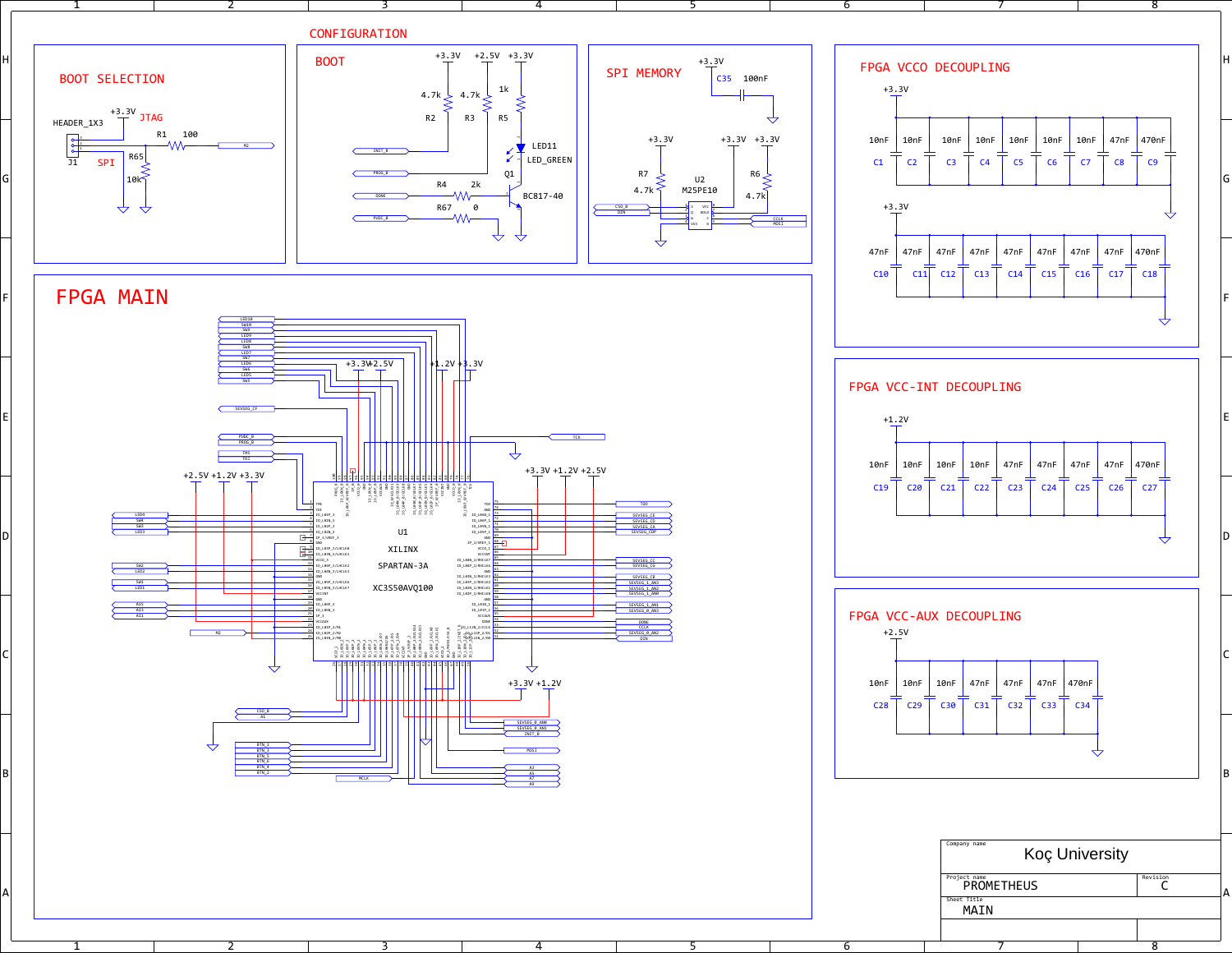2

3

4

5

6

7

8

 $\sim$  1

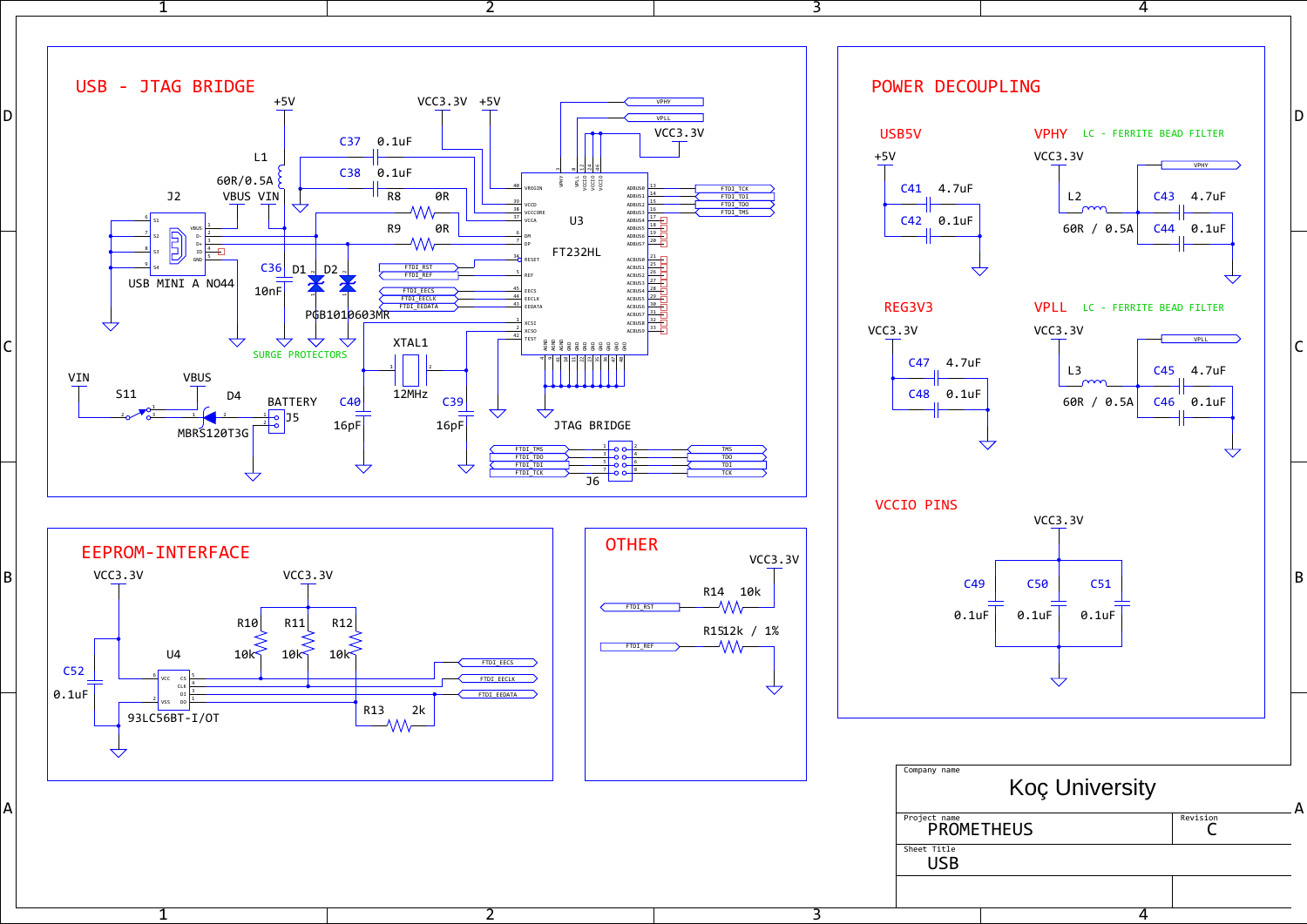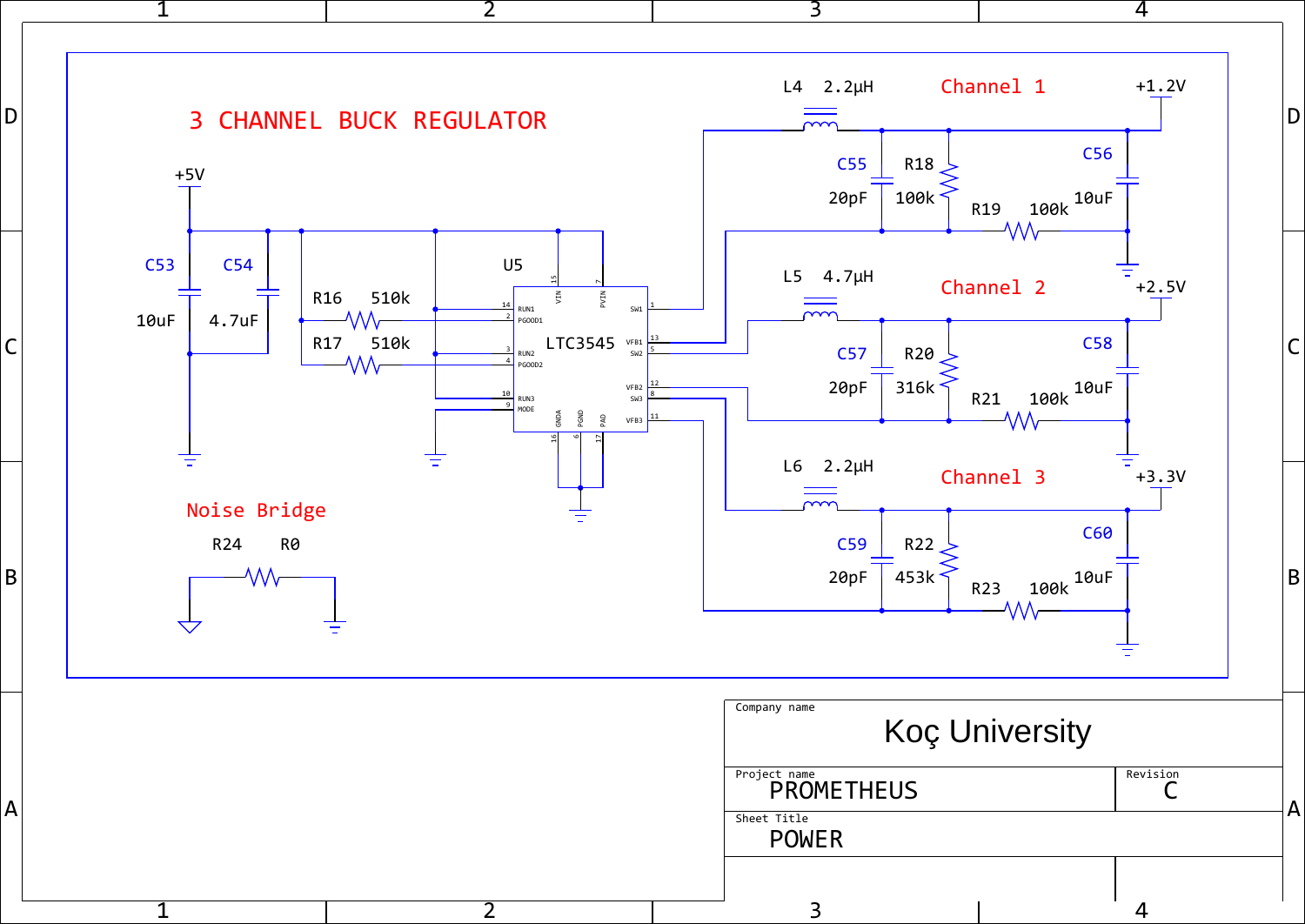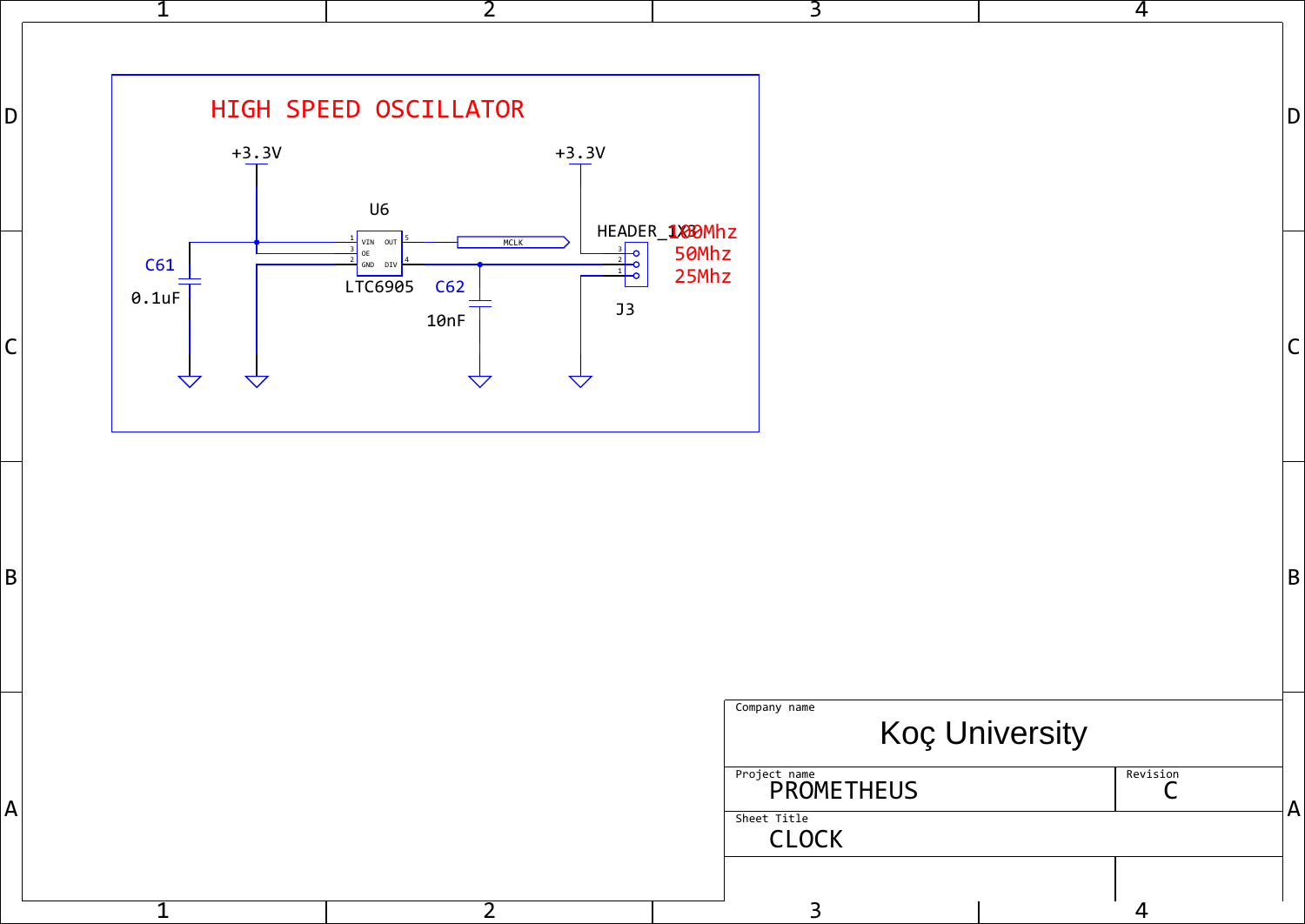| 1                                                                                 | $\overline{2}$                                                                         | $\overline{3}$                                                                   |                       | $\overline{4}$ |              |
|-----------------------------------------------------------------------------------|----------------------------------------------------------------------------------------|----------------------------------------------------------------------------------|-----------------------|----------------|--------------|
| D <br>$+3.3V$                                                                     | HIGH SPEED OSCILLATOR<br>$+3.3V$<br>U6                                                 |                                                                                  |                       |                | D            |
| C61<br>$0.1$ uF<br>$\overline{C}$<br>$\overline{\mathbf{\triangle} }$<br>$\Delta$ | VIN OUT<br>MCLK<br>OE<br>GND DIV<br>LTC6905<br>C62<br>J3<br>10nF<br>$\bigtriangledown$ | $\frac{\frac{3}{2} \text{HEADER}}{100}$ 50Mhz                                    |                       |                | lC           |
| B                                                                                 |                                                                                        |                                                                                  |                       |                | B            |
| $\overline{A}$                                                                    |                                                                                        | Company name<br><b>Project name</b><br>PROMETHEUS<br>Sheet Title<br><b>CLOCK</b> | <b>Koç University</b> | Revision<br>J  | $\mathsf{H}$ |
|                                                                                   | ٠,                                                                                     | 3                                                                                |                       | 4              |              |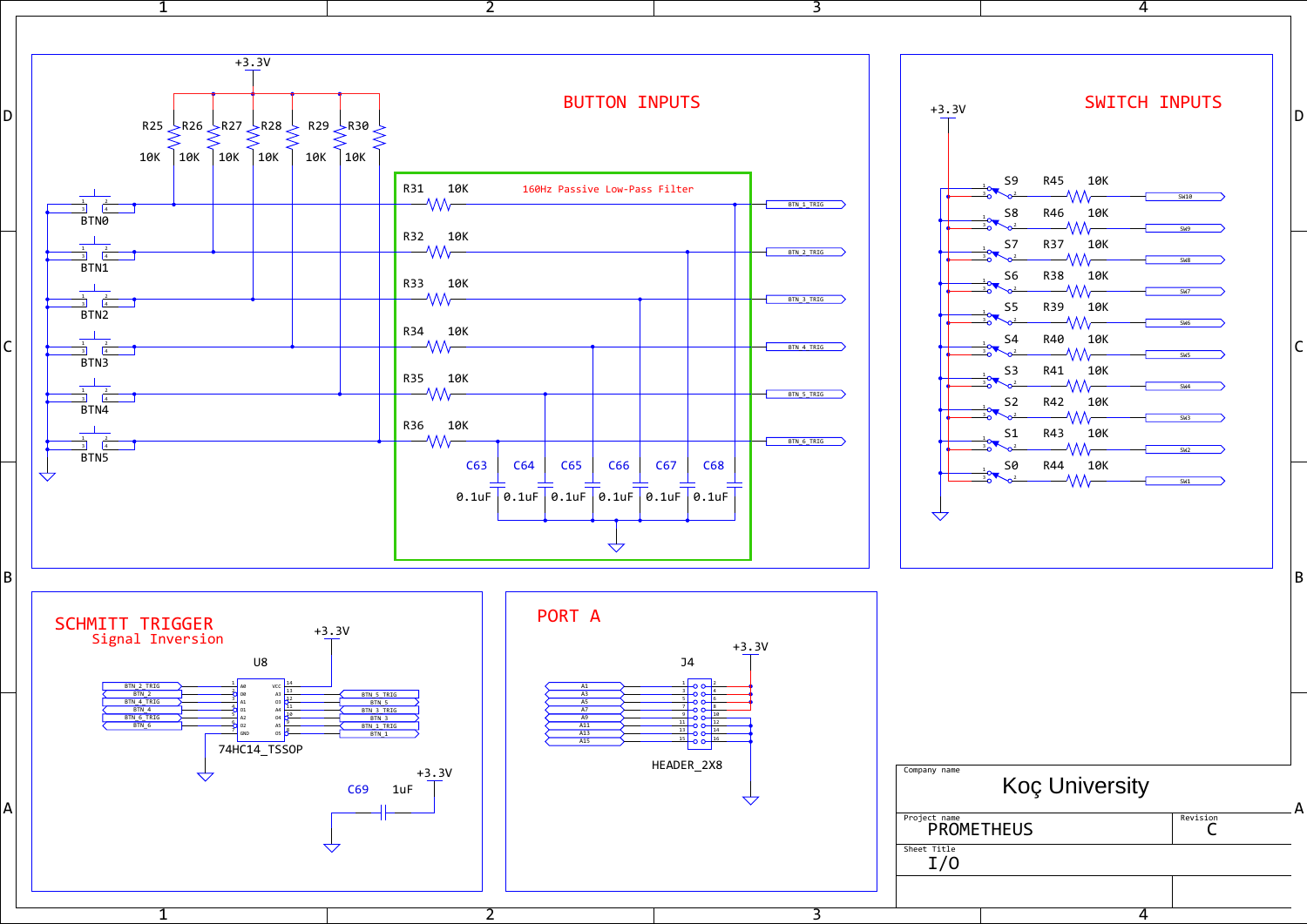





 $1$  and  $1$ 

 $1$  and  $1$ 



2

2

3

4